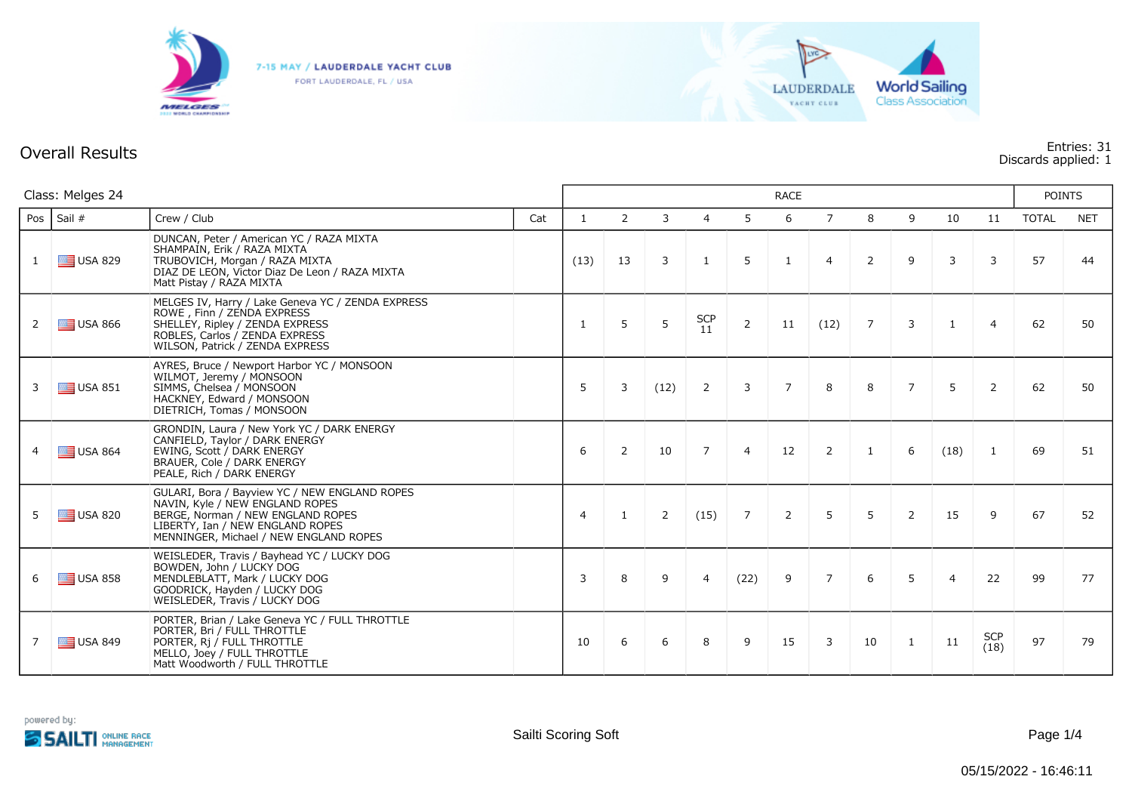

FORT LAUDERDALE, FL / USA



## **Overall Results Entries: 31 Discards applied: 1**

| Class: Melges 24 |                  |                                                                                                                                                                                                     | <b>RACE</b> |                |                |             |                |                |                |                |                |                |                | <b>POINTS</b>      |       |            |
|------------------|------------------|-----------------------------------------------------------------------------------------------------------------------------------------------------------------------------------------------------|-------------|----------------|----------------|-------------|----------------|----------------|----------------|----------------|----------------|----------------|----------------|--------------------|-------|------------|
| Pos              | Sail #           | Crew / Club                                                                                                                                                                                         | Cat         | $\mathbf{1}$   | $\overline{2}$ | 3           | $\overline{4}$ | 5              | 6              | $\overline{7}$ | 8              | 9              | 10             | 11                 | TOTAL | <b>NET</b> |
| $\mathbf{1}$     | $\equiv$ USA 829 | DUNCAN, Peter / American YC / RAZA MIXTA<br>SHAMPAIN, Erik / RAZA MIXTA<br>TRUBOVICH, Morgan / RAZA MIXTA<br>DIAZ DE LEON, Victor Diaz De Leon / RAZA MIXTA<br>Matt Pistay / RAZA MIXTA             |             | (13)           | 13             | 3           | 1              | 5              | 1              | $\overline{4}$ | $\overline{2}$ | 9              | 3              | 3                  | 57    | 44         |
| $\overline{2}$   | $\equiv$ USA 866 | MELGES IV, Harry / Lake Geneva YC / ZENDA EXPRESS<br>ROWE, Finn / ZENDA EXPRESS<br>SHELLEY, Ripley / ZENDA EXPRESS<br>ROBLES, Carlos / ZENDA EXPRESS<br>WILSON, Patrick / ZENDA EXPRESS             |             | 1              | 5              | 5           | $SCP$<br>$11$  | $\overline{2}$ | 11             | (12)           | $\overline{7}$ | $\mathbf{3}$   | $\mathbf{1}$   | $\overline{a}$     | 62    | 50         |
| 3                | $\equiv$ USA 851 | AYRES, Bruce / Newport Harbor YC / MONSOON<br>WILMOT, Jeremy / MONSOON<br>SIMMS, Chelsea / MONSOON<br>HACKNEY, Edward / MONSOON<br>DIETRICH, Tomas / MONSOON                                        |             | 5              | 3              | (12)        | $\overline{2}$ | 3              | $\overline{7}$ | 8              | 8              | $\overline{7}$ | 5              | $\overline{2}$     | 62    | 50         |
| 4                | $\equiv$ USA 864 | GRONDIN, Laura / New York YC / DARK ENERGY<br>CANFIELD, Taylor / DARK ENERGY<br>EWING, Scott / DARK ENERGY<br>BRAUER, Cole / DARK ENERGY<br>PEALE, Rich / DARK ENERGY                               |             | 6              | $\overline{2}$ | 10          | $\overline{7}$ | $\overline{4}$ | 12             | 2              | $\mathbf{1}$   | 6              | (18)           | 1                  | 69    | 51         |
| 5                | $\equiv$ USA 820 | GULARI, Bora / Bayview YC / NEW ENGLAND ROPES<br>NAVIN, Kyle / NEW ENGLAND ROPES<br>BERGE, Norman / NEW ENGLAND ROPES<br>LIBERTY, Ian / NEW ENGLAND ROPES<br>MENNINGER, Michael / NEW ENGLAND ROPES |             | $\overline{4}$ | $\mathbf{1}$   | $2^{\circ}$ | (15)           | $\overline{7}$ | $\overline{2}$ | 5              | 5              | $\overline{2}$ | 15             | 9                  | 67    | 52         |
| 6                | $\equiv$ USA 858 | WEISLEDER, Travis / Bayhead YC / LUCKY DOG<br>BOWDEN, John / LUCKY DOG<br>MENDLEBLATT, Mark / LUCKY DOG<br>GOODRICK, Hayden / LUCKY DOG<br>WEISLEDER, Travis / LUCKY DOG                            |             | 3              | 8              | 9           | $\overline{4}$ | (22)           | 9              | $\overline{7}$ | 6              | 5              | $\overline{4}$ | 22                 | 99    | 77         |
| $\overline{7}$   | $\equiv$ USA 849 | PORTER, Brian / Lake Geneva YC / FULL THROTTLE<br>PORTER, Bri / FULL THROTTLE<br>PORTER, Ri / FULL THROTTLE<br>MELLO, Joey / FULL THROTTLE<br>Matt Woodworth / FULL THROTTLE                        |             | 10             | 6              | 6           | 8              | 9              | 15             | 3              | 10             | 1              | 11             | <b>SCP</b><br>(18) | 97    | 79         |

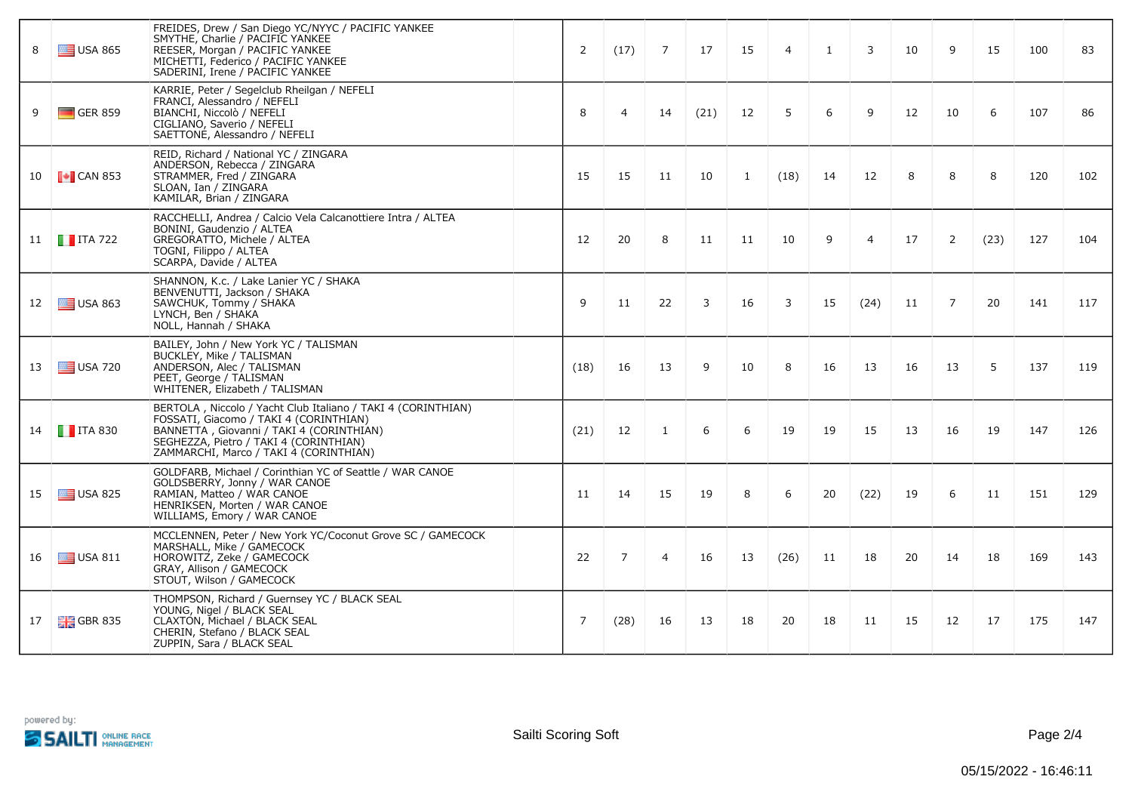| 8  | $\equiv$ USA 865       | FREIDES, Drew / San Diego YC/NYYC / PACIFIC YANKEE<br>SMYTHE, Charlie / PACIFIC YANKEE<br>REESER, Morgan / PACIFIC YANKEE<br>MICHETTI, Federico / PACIFIC YANKEE<br>SADERINI, Irene / PACIFIC YANKEE                                   | 2    | (17)           | $\overline{7}$ | 17   | 15 | $\overline{4}$ | $\mathbf{1}$ | $\overline{3}$ | 10 | 9  | 15   | 100 | 83  |
|----|------------------------|----------------------------------------------------------------------------------------------------------------------------------------------------------------------------------------------------------------------------------------|------|----------------|----------------|------|----|----------------|--------------|----------------|----|----|------|-----|-----|
| 9  | $\Box$ GER 859         | KARRIE, Peter / Segelclub Rheilgan / NEFELI<br>FRANCI, Alessandro / NEFELI<br>BIANCHI, Niccolò / NEFELI<br>CIGLIANO, Saverio / NEFELI<br>SAETTONE, Alessandro / NEFELI                                                                 | 8    | $\overline{4}$ | 14             | (21) | 12 | 5              | 6            | 9              | 12 | 10 | 6    | 107 | 86  |
| 10 | $\blacksquare$ CAN 853 | REID, Richard / National YC / ZINGARA<br>ANDERSON, Rebecca / ZINGARA<br>STRAMMER, Fred / ZINGARA<br>SLOAN, Ian / ZINGARA<br>KAMILAR, Brian / ZINGARA                                                                                   | 15   | 15             | 11             | 10   | 1  | (18)           | 14           | 12             | 8  | 8  | 8    | 120 | 102 |
|    | 11 <b>T</b> ITA 722    | RACCHELLI, Andrea / Calcio Vela Calcanottiere Intra / ALTEA<br>BONINI, Gaudenzio / ALTEA<br>GREGORATTO, Michele / ALTEA<br>TOGNI, Filippo / ALTEA<br>SCARPA, Davide / ALTEA                                                            | 12   | 20             | 8              | 11   | 11 | 10             | 9            | $\overline{4}$ | 17 | 2  | (23) | 127 | 104 |
|    | 12 USA 863             | SHANNON, K.c. / Lake Lanier YC / SHAKA<br>BENVENUTTI, Jackson / SHAKA<br>SAWCHUK, Tommy / SHAKA<br>LYNCH, Ben / SHAKA<br>NOLL, Hannah / SHAKA                                                                                          | 9    | 11             | 22             | 3    | 16 | 3              | 15           | (24)           | 11 | 7  | 20   | 141 | 117 |
| 13 | $\equiv$ USA 720       | BAILEY, John / New York YC / TALISMAN<br>BUCKLEY, Mike / TALISMAN<br>ANDERSON, Alec / TALISMAN<br>PEET, George / TALISMAN<br>WHITENER, Elizabeth / TALISMAN                                                                            | (18) | 16             | 13             | 9    | 10 | 8              | 16           | 13             | 16 | 13 | 5    | 137 | 119 |
|    | 14 <b>T</b> ITA 830    | BERTOLA, Niccolo / Yacht Club Italiano / TAKI 4 (CORINTHIAN)<br>FOSSATI, Giacomo / TAKI 4 (CORINTHIAN)<br>BANNETTA, Giovanni / TAKI 4 (CORINTHIAN)<br>SEGHEZZA, Pietro / TAKI 4 (CORINTHIAN)<br>ZAMMARCHI, Marco / TAKI 4 (CORINTHIAN) | (21) | 12             | $\mathbf{1}$   | 6    | 6  | 19             | 19           | 15             | 13 | 16 | 19   | 147 | 126 |
| 15 | $\equiv$ USA 825       | GOLDFARB, Michael / Corinthian YC of Seattle / WAR CANOE<br>GOLDSBERRY, Jonny / WAR CANOE<br>RAMIAN, Matteo / WAR CANOE<br>HENRIKSEN, Morten / WAR CANOE<br>WILLIAMS, Emory / WAR CANOE                                                | 11   | 14             | 15             | 19   | 8  | 6              | 20           | (22)           | 19 | 6  | 11   | 151 | 129 |
|    | 16 USA 811             | MCCLENNEN, Peter / New York YC/Coconut Grove SC / GAMECOCK<br>MARSHALL, Mike / GAMECOCK<br>HOROWITZ, Zeke / GAMECOCK<br>GRAY, Allison / GAMECOCK<br>STOUT, Wilson / GAMECOCK                                                           | 22   | $\overline{7}$ | $\overline{4}$ | 16   | 13 | (26)           | 11           | 18             | 20 | 14 | 18   | 169 | 143 |
| 17 | $GBR$ 835              | THOMPSON, Richard / Guernsey YC / BLACK SEAL<br>YOUNG, Nigel / BLACK SEAL<br>CLAXTON, Michael / BLACK SEAL<br>CHERIN, Stefano / BLACK SEAL<br>ZUPPIN, Sara / BLACK SEAL                                                                | 7    | (28)           | 16             | 13   | 18 | 20             | 18           | 11             | 15 | 12 | 17   | 175 | 147 |

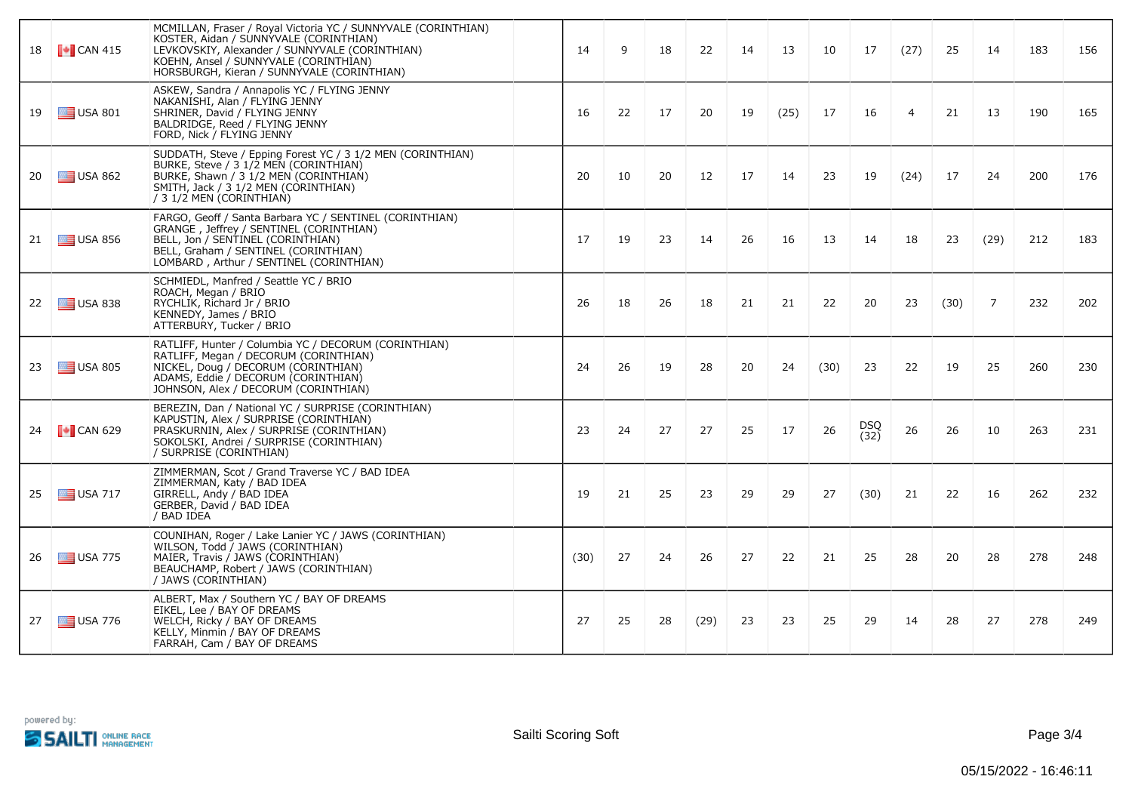| 18 | $\bullet$ CAN 415      | MCMILLAN, Fraser / Royal Victoria YC / SUNNYVALE (CORINTHIAN)<br>KOSTER, Aidan / SUNNYVALE (CORINTHIAN)<br>LEVKOVSKIY, Alexander / SUNNYVALE (CORINTHIAN)<br>KOEHN, Ansel / SUNNYVALE (CORINTHIAN)<br>HORSBURGH, Kieran / SUNNYVALE (CORINTHIAN) | 14   | 9  | 18 | 22   | 14 | 13   | 10   | 17          | (27)           | 25   | 14   | 183 | 156 |
|----|------------------------|--------------------------------------------------------------------------------------------------------------------------------------------------------------------------------------------------------------------------------------------------|------|----|----|------|----|------|------|-------------|----------------|------|------|-----|-----|
| 19 | $\equiv$ USA 801       | ASKEW, Sandra / Annapolis YC / FLYING JENNY<br>NAKANISHI, Alan / FLYING JENNY<br>SHRINER, David / FLYING JENNY<br>BALDRIDGE, Reed / FLYING JENNY<br>FORD, Nick / FLYING JENNY                                                                    | 16   | 22 | 17 | 20   | 19 | (25) | 17   | 16          | $\overline{4}$ | 21   | 13   | 190 | 165 |
| 20 | $\equiv$ USA 862       | SUDDATH, Steve / Epping Forest YC / 3 1/2 MEN (CORINTHIAN)<br>BURKE, Steve / 3 1/2 MEN (CORINTHIAN)<br>BURKE, Shawn / 3 1/2 MEN (CORINTHIAN)<br>SMITH, Jack / 3 1/2 MEN (CORINTHIAN)<br>/ 3 1/2 MEN (CORINTHIAN)                                 | 20   | 10 | 20 | 12   | 17 | 14   | 23   | 19          | (24)           | 17   | 24   | 200 | 176 |
| 21 | $\equiv$ USA 856       | FARGO, Geoff / Santa Barbara YC / SENTINEL (CORINTHIAN)<br>GRANGE, Jeffrey / SENTINEL (CORINTHIAN)<br>BELL, Jon / SENTINEL (CORINTHIAN)<br>BELL, Graham / SENTINEL (CORINTHIAN)<br>LOMBARD, Arthur / SENTINEL (CORINTHIAN)                       | 17   | 19 | 23 | 14   | 26 | 16   | 13   | 14          | 18             | 23   | (29) | 212 | 183 |
| 22 | $\equiv$ USA 838       | SCHMIEDL, Manfred / Seattle YC / BRIO<br>ROACH, Megan / BRIO<br>RYCHLIK, Richard Jr / BRIO<br>KENNEDY, James / BRIO<br>ATTERBURY, Tucker / BRIO                                                                                                  | 26   | 18 | 26 | 18   | 21 | 21   | 22   | 20          | 23             | (30) | 7    | 232 | 202 |
| 23 | $\equiv$ USA 805       | RATLIFF, Hunter / Columbia YC / DECORUM (CORINTHIAN)<br>RATLIFF, Megan / DECORUM (CORINTHIAN)<br>NICKEL, Doug / DECORUM (CORINTHIAN)<br>ADAMS, Eddie / DECORUM (CORINTHIAN)<br>JOHNSON, Alex / DECORUM (CORINTHIAN)                              | 24   | 26 | 19 | 28   | 20 | 24   | (30) | 23          | 22             | 19   | 25   | 260 | 230 |
| 24 | $\blacksquare$ CAN 629 | BEREZIN, Dan / National YC / SURPRISE (CORINTHIAN)<br>KAPUSTIN, Alex / SURPRISE (CORINTHIAN)<br>PRASKURNIN, Alex / SURPRISE (CORINTHIAN)<br>SOKOLSKI, Andrei / SURPRISE (CORINTHIAN)<br>/ SURPRISE (CORINTHIAN)                                  | 23   | 24 | 27 | 27   | 25 | 17   | 26   | DSQ<br>(32) | 26             | 26   | 10   | 263 | 231 |
| 25 | $\equiv$ USA 717       | ZIMMERMAN, Scot / Grand Traverse YC / BAD IDEA<br>ZIMMERMAN, Katy / BAD IDEA<br>GIRRELL, Andy / BAD IDEA<br>GERBER, David / BAD IDEA<br>/ BAD IDEA                                                                                               | 19   | 21 | 25 | 23   | 29 | 29   | 27   | (30)        | 21             | 22   | 16   | 262 | 232 |
| 26 | $\equiv$ USA 775       | COUNIHAN, Roger / Lake Lanier YC / JAWS (CORINTHIAN)<br>WILSON, Todd / JAWS (CORINTHIAN)<br>MAIER, Travis / JAWS (CORINTHIAN)<br>BEAUCHAMP, Robert / JAWS (CORINTHIAN)<br>/ JAWS (CORINTHIAN)                                                    | (30) | 27 | 24 | 26   | 27 | 22   | 21   | 25          | 28             | 20   | 28   | 278 | 248 |
| 27 | $\equiv$ USA 776       | ALBERT, Max / Southern YC / BAY OF DREAMS<br>EIKEL, Lee / BAY OF DREAMS<br>WELCH, Ricky / BAY OF DREAMS<br>KELLY, Minmin / BAY OF DREAMS<br>FARRAH, Cam / BAY OF DREAMS                                                                          | 27   | 25 | 28 | (29) | 23 | 23   | 25   | 29          | 14             | 28   | 27   | 278 | 249 |